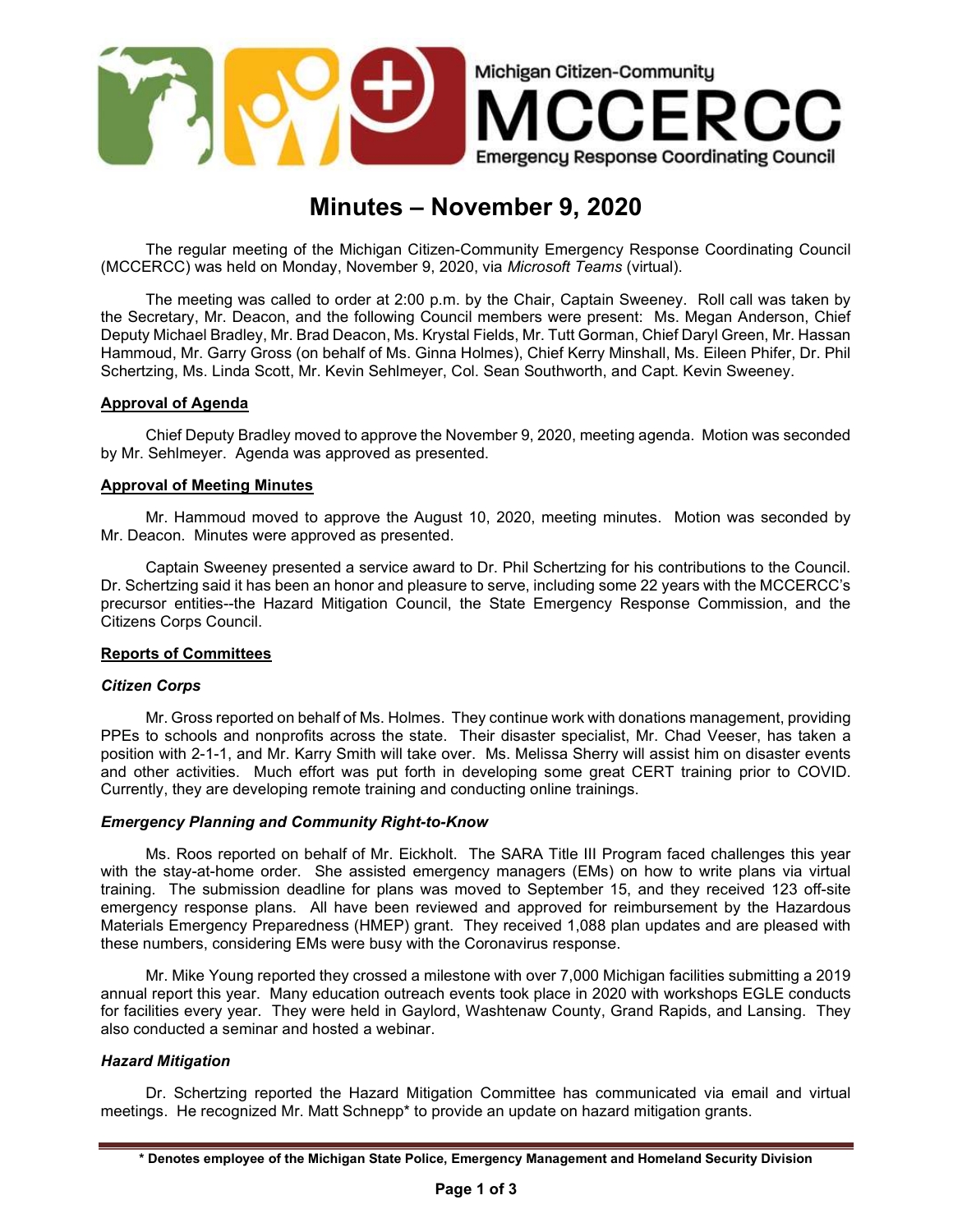

# Minutes – November 9, 2020

The regular meeting of the Michigan Citizen-Community Emergency Response Coordinating Council (MCCERCC) was held on Monday, November 9, 2020, via Microsoft Teams (virtual).

The meeting was called to order at 2:00 p.m. by the Chair, Captain Sweeney. Roll call was taken by the Secretary, Mr. Deacon, and the following Council members were present: Ms. Megan Anderson, Chief Deputy Michael Bradley, Mr. Brad Deacon, Ms. Krystal Fields, Mr. Tutt Gorman, Chief Daryl Green, Mr. Hassan Hammoud, Mr. Garry Gross (on behalf of Ms. Ginna Holmes), Chief Kerry Minshall, Ms. Eileen Phifer, Dr. Phil Schertzing, Ms. Linda Scott, Mr. Kevin Sehlmeyer, Col. Sean Southworth, and Capt. Kevin Sweeney.

## Approval of Agenda

Chief Deputy Bradley moved to approve the November 9, 2020, meeting agenda. Motion was seconded by Mr. Sehlmeyer. Agenda was approved as presented.

### Approval of Meeting Minutes

Mr. Hammoud moved to approve the August 10, 2020, meeting minutes. Motion was seconded by Mr. Deacon. Minutes were approved as presented.

Captain Sweeney presented a service award to Dr. Phil Schertzing for his contributions to the Council. Dr. Schertzing said it has been an honor and pleasure to serve, including some 22 years with the MCCERCC's precursor entities--the Hazard Mitigation Council, the State Emergency Response Commission, and the Citizens Corps Council.

### Reports of Committees

### Citizen Corps

Mr. Gross reported on behalf of Ms. Holmes. They continue work with donations management, providing PPEs to schools and nonprofits across the state. Their disaster specialist, Mr. Chad Veeser, has taken a position with 2-1-1, and Mr. Karry Smith will take over. Ms. Melissa Sherry will assist him on disaster events and other activities. Much effort was put forth in developing some great CERT training prior to COVID. Currently, they are developing remote training and conducting online trainings.

### Emergency Planning and Community Right-to-Know

Ms. Roos reported on behalf of Mr. Eickholt. The SARA Title III Program faced challenges this year with the stay-at-home order. She assisted emergency managers (EMs) on how to write plans via virtual training. The submission deadline for plans was moved to September 15, and they received 123 off-site emergency response plans. All have been reviewed and approved for reimbursement by the Hazardous Materials Emergency Preparedness (HMEP) grant. They received 1,088 plan updates and are pleased with these numbers, considering EMs were busy with the Coronavirus response.

Mr. Mike Young reported they crossed a milestone with over 7,000 Michigan facilities submitting a 2019 annual report this year. Many education outreach events took place in 2020 with workshops EGLE conducts for facilities every year. They were held in Gaylord, Washtenaw County, Grand Rapids, and Lansing. They also conducted a seminar and hosted a webinar.

### Hazard Mitigation

Dr. Schertzing reported the Hazard Mitigation Committee has communicated via email and virtual meetings. He recognized Mr. Matt Schnepp\* to provide an update on hazard mitigation grants.

<sup>\*</sup> Denotes employee of the Michigan State Police, Emergency Management and Homeland Security Division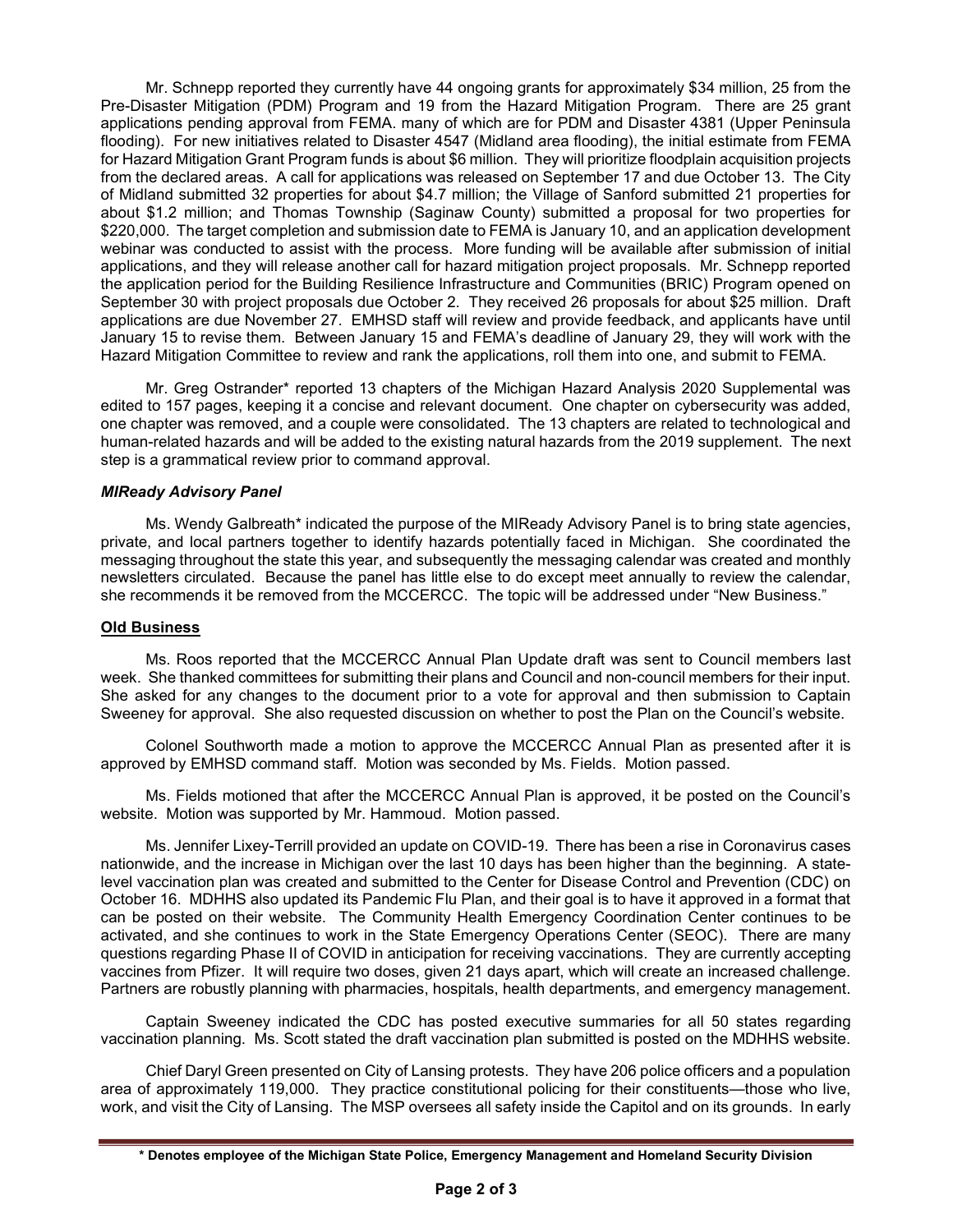Mr. Schnepp reported they currently have 44 ongoing grants for approximately \$34 million, 25 from the Pre-Disaster Mitigation (PDM) Program and 19 from the Hazard Mitigation Program. There are 25 grant applications pending approval from FEMA. many of which are for PDM and Disaster 4381 (Upper Peninsula flooding). For new initiatives related to Disaster 4547 (Midland area flooding), the initial estimate from FEMA for Hazard Mitigation Grant Program funds is about \$6 million. They will prioritize floodplain acquisition projects from the declared areas. A call for applications was released on September 17 and due October 13. The City of Midland submitted 32 properties for about \$4.7 million; the Village of Sanford submitted 21 properties for about \$1.2 million; and Thomas Township (Saginaw County) submitted a proposal for two properties for \$220,000. The target completion and submission date to FEMA is January 10, and an application development webinar was conducted to assist with the process. More funding will be available after submission of initial applications, and they will release another call for hazard mitigation project proposals. Mr. Schnepp reported the application period for the Building Resilience Infrastructure and Communities (BRIC) Program opened on September 30 with project proposals due October 2. They received 26 proposals for about \$25 million. Draft applications are due November 27. EMHSD staff will review and provide feedback, and applicants have until January 15 to revise them. Between January 15 and FEMA's deadline of January 29, they will work with the Hazard Mitigation Committee to review and rank the applications, roll them into one, and submit to FEMA.

Mr. Greg Ostrander\* reported 13 chapters of the Michigan Hazard Analysis 2020 Supplemental was edited to 157 pages, keeping it a concise and relevant document. One chapter on cybersecurity was added, one chapter was removed, and a couple were consolidated. The 13 chapters are related to technological and human-related hazards and will be added to the existing natural hazards from the 2019 supplement. The next step is a grammatical review prior to command approval.

## MIReady Advisory Panel

Ms. Wendy Galbreath\* indicated the purpose of the MIReady Advisory Panel is to bring state agencies, private, and local partners together to identify hazards potentially faced in Michigan. She coordinated the messaging throughout the state this year, and subsequently the messaging calendar was created and monthly newsletters circulated. Because the panel has little else to do except meet annually to review the calendar, she recommends it be removed from the MCCERCC. The topic will be addressed under "New Business."

### Old Business

 Ms. Roos reported that the MCCERCC Annual Plan Update draft was sent to Council members last week. She thanked committees for submitting their plans and Council and non-council members for their input. She asked for any changes to the document prior to a vote for approval and then submission to Captain Sweeney for approval. She also requested discussion on whether to post the Plan on the Council's website.

Colonel Southworth made a motion to approve the MCCERCC Annual Plan as presented after it is approved by EMHSD command staff. Motion was seconded by Ms. Fields. Motion passed.

Ms. Fields motioned that after the MCCERCC Annual Plan is approved, it be posted on the Council's website. Motion was supported by Mr. Hammoud. Motion passed.

Ms. Jennifer Lixey-Terrill provided an update on COVID-19. There has been a rise in Coronavirus cases nationwide, and the increase in Michigan over the last 10 days has been higher than the beginning. A statelevel vaccination plan was created and submitted to the Center for Disease Control and Prevention (CDC) on October 16. MDHHS also updated its Pandemic Flu Plan, and their goal is to have it approved in a format that can be posted on their website. The Community Health Emergency Coordination Center continues to be activated, and she continues to work in the State Emergency Operations Center (SEOC). There are many questions regarding Phase II of COVID in anticipation for receiving vaccinations. They are currently accepting vaccines from Pfizer. It will require two doses, given 21 days apart, which will create an increased challenge. Partners are robustly planning with pharmacies, hospitals, health departments, and emergency management.

Captain Sweeney indicated the CDC has posted executive summaries for all 50 states regarding vaccination planning. Ms. Scott stated the draft vaccination plan submitted is posted on the MDHHS website.

Chief Daryl Green presented on City of Lansing protests. They have 206 police officers and a population area of approximately 119,000. They practice constitutional policing for their constituents—those who live, work, and visit the City of Lansing. The MSP oversees all safety inside the Capitol and on its grounds. In early